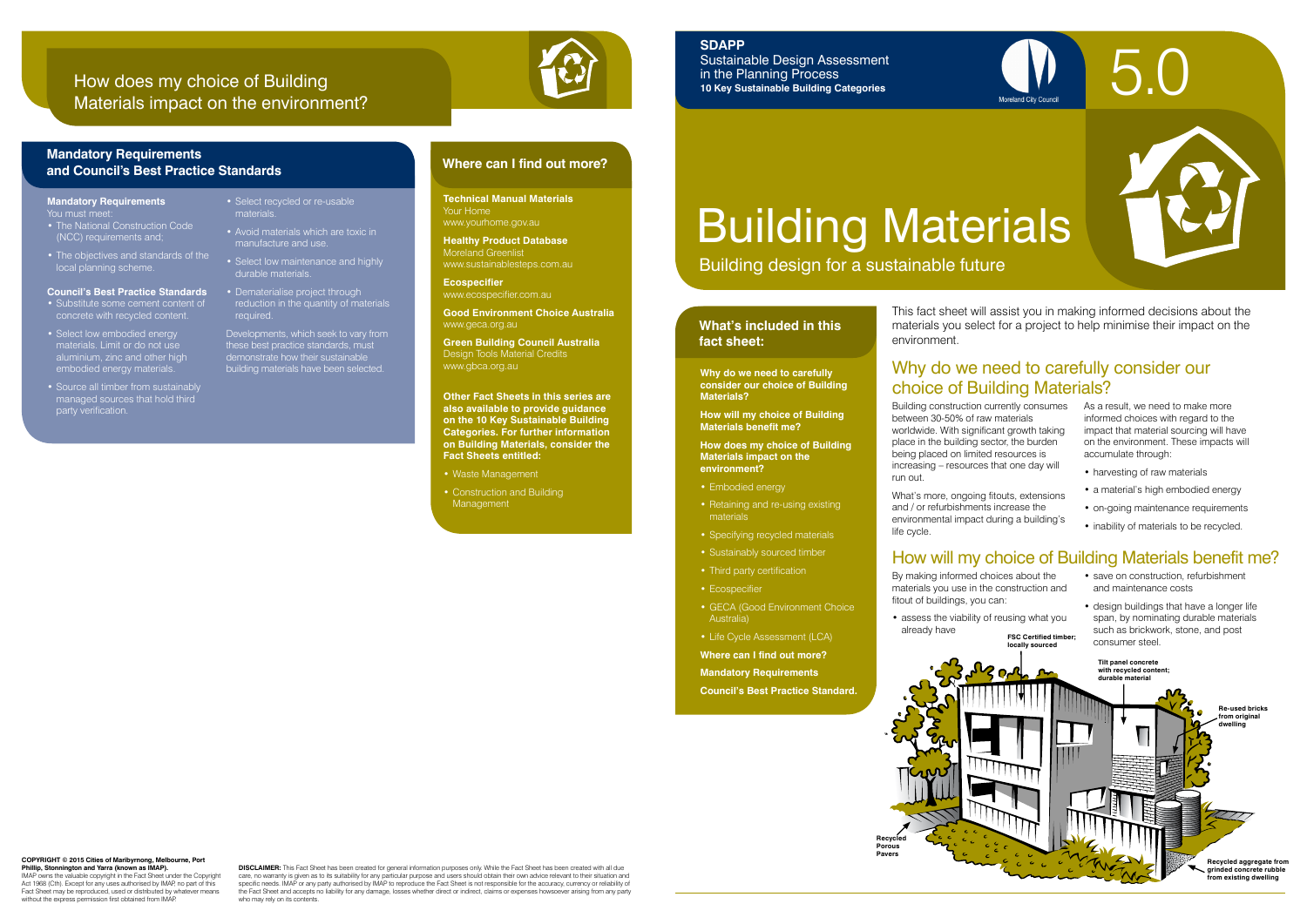Building design for a sustainable future

### **What's included in this fact sheet:**



Building construction currently consumes between 30-50% of raw materials worldwide. With significant growth taking place in the building sector, the burden being placed on limited resources is increasing – resources that one day will run out.

What's more, ongoing fitouts, extensions and / or refurbishments increase the environmental impact during a building's life cycle.

As a result, we need to make more informed choices with regard to the impact that material sourcing will have on the environment. These impacts will accumulate through:

- harvesting of raw materials
- a material's high embodied energy
- on-going maintenance requirements
- inability of materials to be recycled.

## Why do we need to carefully consider our choice of Building Materials?

- save on construction, refurbishment and maintenance costs
- design buildings that have a longer life span, by nominating durable materials such as brickwork, stone, and post consumer steel.

**Why do we need to carefully consider our choice of Building Materials?**

**How will my choice of Building Materials benefit me?**

**How does my choice of Building Materials impact on the environment?**

- Embodied energy
- Retaining and re-using existing materials
- Specifying recycled materials
- Sustainably sourced timber
- Third party certification
- Ecospecifier
- GECA (Good Environment Choice Australia)
- Life Cycle Assessment (LCA)
- **Where can I find out more?**
- **Mandatory Requirements**

**Council's Best Practice Standard.**

# Building Materials

By making informed choices about the materials you use in the construction and fitout of buildings, you can:

IMAP owns the valuable copyright in the Fact Sheet under the Copyright Act 1968 (Cth). Except for any uses authorised by IMAP, no part of this Fact Sheet may be reproduced, used or distributed by whatever means without the express permission first obtained from IMAF

**DISCLAIMER:** This Fact Sheet has been created for general information purposes only. While the Fact Sheet has been created with all due care, no warranty is given as to its suitability for any particular purpose and users should obtain their own advice relevant to their situation and<br>specific needs. IMAP or any party authorised by IMAP to reproduce the Fac the Fact Sheet and accepts no liability for any damage, losses whether direct or indirect, claims or expenses howsoever arising from any party who may rely on its contents.

• assess the viability of reusing what you already have **FSC Certified timber;** 

### How will my choice of Building Materials benefit me?

**locally sourced**



#### **Mandatory Requirements** You must m

- Substitute some cement content of concrete with recycled content.
- Select low embodied energy materials. Limit or do not us aluminium, zinc and other high embodied energy materials.
- Source all timber from sustainably managed sources that hold third managed source.<br>party verification.

This fact sheet will assist you in making informed decisions about the materials you select for a project to help minimise their impact on the



**Technical Manual Materials**  Your Home www.yourhome.gov.au

**Healthy Product Database** Moreland Greenlist www.sustainablesteps.com.au

**Ecospecifier** www.ecospecifier.com.au

**Good Environment Choice Australia**  www.geca.org.au

**Green Building Council Australia** Design Tools Material Credits www.gbca.org.au

**Other Fact Sheets in this series are also available to provide guidance on the 10 Key Sustainable Building Categories. For further information on Building Materials, consider the Fact Sheets entitled:** 

- Waste Management
- Construction and Building Management

### **Where can I find out more? Mandatory Requirements and Council's Best Practice Standards**

### How does my choice of Building Materials impact on the environment?



#### **COPYRIGHT © 2015 Cities of Maribyrnong, Melbourne, Port Phillip, Stonnington and Yarra (known as IMAP).**

### **SDAPP**

Sustainable Design Assessment in the Planning Process **10 Key Sustainable Building Categories**

- The National Construction Code (NCC) requirements and;
- The objectives and standards of the local planning scheme.

#### **Council's Best Practice Standards**

durable materials.

- Select recycled or re-usable materials. • Avoid materials which are toxic in
- manufacture and use. • Select low maintenance and highly
- Dematerialise project through reduction in the quantity of materials required.
- Developments, which seek to vary from these best practice standards, must demonstrate how their sustainable building materials have been selected.